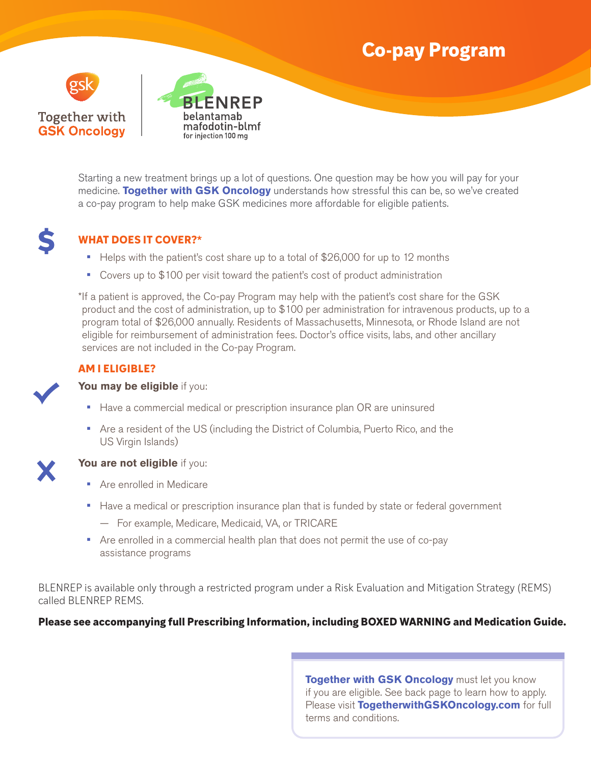# **Co-pay Program**





Starting a new treatment brings up a lot of questions. One question may be how you will pay for your medicine. **Together with GSK Oncology** understands how stressful this can be, so we've created a co-pay program to help make GSK medicines more affordable for eligible patients.



## **WHAT DOES IT COVER?\***

- **•** Helps with the patient's cost share up to a total of \$26,000 for up to 12 months
- **•** Covers up to \$100 per visit toward the patient's cost of product administration

\*If a patient is approved, the Co-pay Program may help with the patient's cost share for the GSK product and the cost of administration, up to \$100 per administration for intravenous products, up to a program total of \$26,000 annually. Residents of Massachusetts, Minnesota, or Rhode Island are not eligible for reimbursement of administration fees. Doctor's office visits, labs, and other ancillary services are not included in the Co-pay Program.

## **AM I ELIGIBLE?**

#### **You may be eligible** if you:

- **•** Have a commercial medical or prescription insurance plan OR are uninsured
- **•** Are a resident of the US (including the District of Columbia, Puerto Rico, and the US Virgin Islands)



### **You are not eligible** if you:

- **•** Are enrolled in Medicare
- **•** Have a medical or prescription insurance plan that is funded by state or federal government
	- For example, Medicare, Medicaid, VA, or TRICARE
- **•** Are enrolled in a commercial health plan that does not permit the use of co-pay assistance programs

BLENREP is available only through a restricted program under a Risk Evaluation and Mitigation Strategy (REMS) called BLENREP REMS.

### **Please see accompanying full Prescribing Information, including BOXED WARNING and Medication Guide.**

**Together with GSK Oncology** must let you know if you are eligible. See back page to learn how to apply. Please visit **TogetherwithGSKOncology.com** for full terms and conditions.